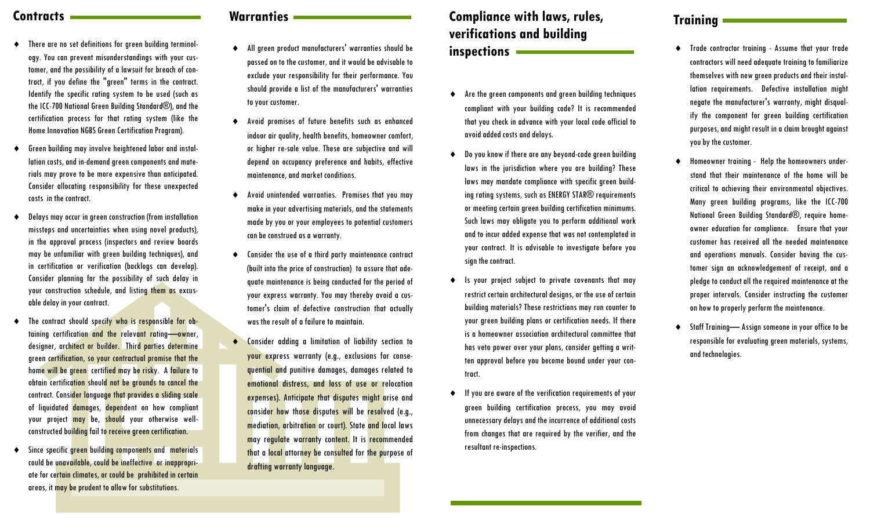- There are no set definitions for green building terminology. You can prevent misunderstandings with your customer, and the possibility of a lawsuit for breach of contract, if you define the "green" terms in the contract. Identify the specific rating system to be used (such as the ICC-700 National Green Building Standard®), and the certification process for that rating system (like the Home Innovation NGBS Green Certification Program).
- Green building may involve heightened labor and installation costs, and in-demand green components and materials may prove to be more expensive than anticipated. Consider allocating responsibility for these unexpected costs in the contract.
- Delays may occur in green construction (from installation missteps and uncertainties when using novel products), in the approval process (inspectors and review boards may be unfamiliar with green building techniques), and in certification or verification (backlogs can develop). Consider planning for the possibility of such delay in your construction schedule, and listing them as excusable delay in your contract.
- The contract should specify who is responsible for obtaining certification and the relevant rating—owner, designer, architect or builder. Third parties determine green certification, so your contractual promise that the home will be green certified may be risky. A failure to obtain certification should not be grounds to cancel the contract. Consider language that provides a sliding scale of liquidated damages, dependent on how compliant your project may be, should your otherwise wellconstructed building fail to receive green certification.
- Since specific green building components and materials could be unavailable, could be ineffective or inappropriate for certain climates, or could be prohibited in certain areas, it may be prudent to allow for substitutions.

## **Contracts Warranties Warranties**

- All green product manufacturers' warranties should be passed on to the customer, and it would be advisable to exclude your responsibility for their performance. You should provide a list of the manufacturers' warranties to your customer.
- Avoid promises of future benefits such as enhanced indoor air quality, health benefits, homeowner comfort, or higher re-sale value. These are subjective and will depend on occupancy preference and habits, effective maintenance, and market conditions.
- Avoid unintended warranties. Promises that you may make in your advertising materials, and the statements made by you or your employees to potential customers can be construed as a warranty.
- Consider the use of a third party maintenance contract (built into the price of construction) to assure that adequate maintenance is being conducted for the period of your express warranty. You may thereby avoid a customer's claim of defective construction that actually was the result of a failure to maintain.
- Consider adding a limitation of liability section to your express warranty (e.g., exclusions for consequential and punitive damages, damages related to emotional distress, and loss of use or relocation expenses). Anticipate that disputes might arise and consider how those disputes will be resolved (e.g., mediation, arbitration or court). State and local laws may regulate warranty content. It is recommended that a local attorney be consulted for the purpose of drafting warranty language.

# **Compliance with laws, rules, verifications and building inspections**

- Are the green components and green building techniques compliant with your building code? It is recommended that you check in advance with your local code official to avoid added costs and delays.
- Do you know if there are any beyond-code green building laws in the jurisdiction where you are building? These laws may mandate compliance with specific green building rating systems, such as ENERGY STAR<sup>®</sup> requirements or meeting certain green building certification minimums. Such laws may obligate you to perform additional work and to incur added expense that was not contemplated in your contract. It is advisable to investigate before you sign the contract.
- Is your project subject to private covenants that may restrict certain architectural designs, or the use of certain building materials? These restrictions may run counter to your green building plans or certification needs. If there is a homeowner association architectural committee that has veto power over your plans, consider getting a written approval before you become bound under your contract.
- If you are aware of the verification requirements of your green building certification process, you may avoid unnecessary delays and the incurrence of additional costs from changes that are required by the verifier, and the resultant re-inspections.

## **Training**

- Trade contractor training Assume that your trade contractors will need adequate training to familiarize themselves with new green products and their installation requirements. Defective installation might negate the manufacturer's warranty, might disqualify the component for green building certification purposes, and might result in a claim brought against you by the customer.
- Homeowner training Help the homeowners understand that their maintenance of the home will be critical to achieving their environmental objectives. Many green building programs, like the ICC-700 National Green Building Standard®, require homeowner education for compliance. Ensure that your customer has received all the needed maintenance and operations manuals. Consider having the customer sign an acknowledgement of receipt, and a pledge to conduct all the required maintenance at the proper intervals. Consider instructing the customer on how to properly perform the maintenance.
- Staff Training— Assign someone in your office to be responsible for evaluating green materials, systems, and technologies.